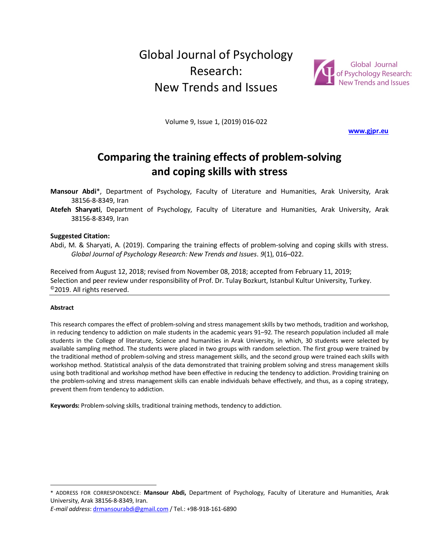# Global Journal of Psychology Research: New Trends and Issues



Volume 9, Issue 1, (2019) 016-022

**www.gjpr.eu**

# **Comparing the training effects of problem-solving and coping skills with stress**

**Mansour Abdi**\*, Department of Psychology, Faculty of Literature and Humanities, Arak University, Arak 38156-8-8349, Iran

**Atefeh Sharyati**, Department of Psychology, Faculty of Literature and Humanities, Arak University, Arak 38156-8-8349, Iran

#### **Suggested Citation:**

Abdi, M. & Sharyati, A. (2019). Comparing the training effects of problem-solving and coping skills with stress. *Global Journal of Psychology Research: New Trends and Issues*. *9*(1), 016–022.

Received from August 12, 2018; revised from November 08, 2018; accepted from February 11, 2019; Selection and peer review under responsibility of Prof. Dr. Tulay Bozkurt, Istanbul Kultur University, Turkey. ©2019. All rights reserved.

#### **Abstract**

 $\overline{a}$ 

This research compares the effect of problem-solving and stress management skills by two methods, tradition and workshop, in reducing tendency to addiction on male students in the academic years 91–92. The research population included all male students in the College of literature, Science and humanities in Arak University, in which, 30 students were selected by available sampling method. The students were placed in two groups with random selection. The first group were trained by the traditional method of problem-solving and stress management skills, and the second group were trained each skills with workshop method. Statistical analysis of the data demonstrated that training problem solving and stress management skills using both traditional and workshop method have been effective in reducing the tendency to addiction. Providing training on the problem-solving and stress management skills can enable individuals behave effectively, and thus, as a coping strategy, prevent them from tendency to addiction.

**Keywords:** Problem-solving skills, traditional training methods, tendency to addiction.

\* ADDRESS FOR CORRESPONDENCE: **Mansour Abdi,** Department of Psychology, Faculty of Literature and Humanities, Arak University, Arak 38156-8-8349, Iran.

*E-mail address*: drmansourabdi@gmail.com / Tel.: +98-918-161-6890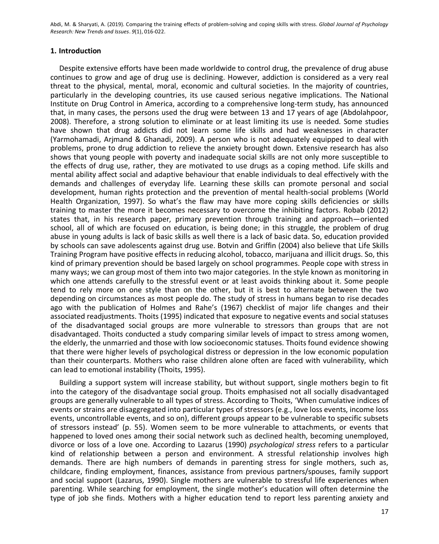### **1. Introduction**

Despite extensive efforts have been made worldwide to control drug, the prevalence of drug abuse continues to grow and age of drug use is declining. However, addiction is considered as a very real threat to the physical, mental, moral, economic and cultural societies. In the majority of countries, particularly in the developing countries, its use caused serious negative implications. The National Institute on Drug Control in America, according to a comprehensive long-term study, has announced that, in many cases, the persons used the drug were between 13 and 17 years of age (Abdolahpoor, 2008). Therefore, a strong solution to eliminate or at least limiting its use is needed. Some studies have shown that drug addicts did not learn some life skills and had weaknesses in character (Yarmohamadi, Arjmand & Ghanadi, 2009). A person who is not adequately equipped to deal with problems, prone to drug addiction to relieve the anxiety brought down. Extensive research has also shows that young people with poverty and inadequate social skills are not only more susceptible to the effects of drug use, rather, they are motivated to use drugs as a coping method. Life skills and mental ability affect social and adaptive behaviour that enable individuals to deal effectively with the demands and challenges of everyday life. Learning these skills can promote personal and social development, human rights protection and the prevention of mental health-social problems (World Health Organization, 1997). So what's the flaw may have more coping skills deficiencies or skills training to master the more it becomes necessary to overcome the inhibiting factors. Robab (2012) states that, in his research paper, primary prevention through training and approach—oriented school, all of which are focused on education, is being done; in this struggle, the problem of drug abuse in young adults is lack of basic skills as well there is a lack of basic data. So, education provided by schools can save adolescents against drug use. Botvin and Griffin (2004) also believe that Life Skills Training Program have positive effects in reducing alcohol, tobacco, marijuana and illicit drugs. So, this kind of primary prevention should be based largely on school programmes. People cope with stress in many ways; we can group most of them into two major categories. In the style known as monitoring in which one attends carefully to the stressful event or at least avoids thinking about it. Some people tend to rely more on one style than on the other, but it is best to alternate between the two depending on circumstances as most people do. The study of stress in humans began to rise decades ago with the publication of Holmes and Rahe's (1967) checklist of major life changes and their associated readjustments. Thoits (1995) indicated that exposure to negative events and social statuses of the disadvantaged social groups are more vulnerable to stressors than groups that are not disadvantaged. Thoits conducted a study comparing similar levels of impact to stress among women, the elderly, the unmarried and those with low socioeconomic statuses. Thoits found evidence showing that there were higher levels of psychological distress or depression in the low economic population than their counterparts. Mothers who raise children alone often are faced with vulnerability, which can lead to emotional instability (Thoits, 1995).

Building a support system will increase stability, but without support, single mothers begin to fit into the category of the disadvantage social group. Thoits emphasised not all socially disadvantaged groups are generally vulnerable to all types of stress. According to Thoits, 'When cumulative indices of events or strains are disaggregated into particular types of stressors (e.g., love loss events, income loss events, uncontrollable events, and so on), different groups appear to be vulnerable to specific subsets of stressors instead' (p. 55). Women seem to be more vulnerable to attachments, or events that happened to loved ones among their social network such as declined health, becoming unemployed, divorce or loss of a love one. According to Lazarus (1990) *psychological stress* refers to a particular kind of relationship between a person and environment. A stressful relationship involves high demands. There are high numbers of demands in parenting stress for single mothers, such as, childcare, finding employment, finances, assistance from previous partners/spouses, family support and social support (Lazarus, 1990). Single mothers are vulnerable to stressful life experiences when parenting. While searching for employment, the single mother's education will often determine the type of job she finds. Mothers with a higher education tend to report less parenting anxiety and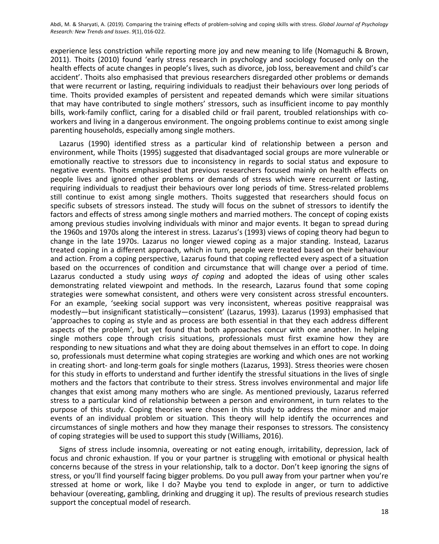experience less constriction while reporting more joy and new meaning to life (Nomaguchi & Brown, 2011). Thoits (2010) found 'early stress research in psychology and sociology focused only on the health effects of acute changes in people's lives, such as divorce, job loss, bereavement and child's car accident'. Thoits also emphasised that previous researchers disregarded other problems or demands that were recurrent or lasting, requiring individuals to readjust their behaviours over long periods of time. Thoits provided examples of persistent and repeated demands which were similar situations that may have contributed to single mothers' stressors, such as insufficient income to pay monthly bills, work-family conflict, caring for a disabled child or frail parent, troubled relationships with coworkers and living in a dangerous environment. The ongoing problems continue to exist among single parenting households, especially among single mothers.

Lazarus (1990) identified stress as a particular kind of relationship between a person and environment, while Thoits (1995) suggested that disadvantaged social groups are more vulnerable or emotionally reactive to stressors due to inconsistency in regards to social status and exposure to negative events. Thoits emphasised that previous researchers focused mainly on health effects on people lives and ignored other problems or demands of stress which were recurrent or lasting, requiring individuals to readjust their behaviours over long periods of time. Stress-related problems still continue to exist among single mothers. Thoits suggested that researchers should focus on specific subsets of stressors instead. The study will focus on the subnet of stressors to identify the factors and effects of stress among single mothers and married mothers. The concept of coping exists among previous studies involving individuals with minor and major events. It began to spread during the 1960s and 1970s along the interest in stress. Lazarus's (1993) views of coping theory had begun to change in the late 1970s. Lazarus no longer viewed coping as a major standing. Instead, Lazarus treated coping in a different approach, which in turn, people were treated based on their behaviour and action. From a coping perspective, Lazarus found that coping reflected every aspect of a situation based on the occurrences of condition and circumstance that will change over a period of time. Lazarus conducted a study using *ways of coping* and adopted the ideas of using other scales demonstrating related viewpoint and methods. In the research, Lazarus found that some coping strategies were somewhat consistent, and others were very consistent across stressful encounters. For an example, 'seeking social support was very inconsistent, whereas positive reappraisal was modestly—but insignificant statistically—consistent' (Lazarus, 1993). Lazarus (1993) emphasised that 'approaches to coping as style and as process are both essential in that they each address different aspects of the problem', but yet found that both approaches concur with one another. In helping single mothers cope through crisis situations, professionals must first examine how they are responding to new situations and what they are doing about themselves in an effort to cope. In doing so, professionals must determine what coping strategies are working and which ones are not working in creating short- and long-term goals for single mothers (Lazarus, 1993). Stress theories were chosen for this study in efforts to understand and further identify the stressful situations in the lives of single mothers and the factors that contribute to their stress. Stress involves environmental and major life changes that exist among many mothers who are single. As mentioned previously, Lazarus referred stress to a particular kind of relationship between a person and environment, in turn relates to the purpose of this study. Coping theories were chosen in this study to address the minor and major events of an individual problem or situation. This theory will help identify the occurrences and circumstances of single mothers and how they manage their responses to stressors. The consistency of coping strategies will be used to support this study (Williams, 2016).

Signs of stress include insomnia, overeating or not eating enough, irritability, depression, lack of focus and chronic exhaustion. If you or your partner is struggling with emotional or physical health concerns because of the stress in your relationship, talk to a doctor. Don't keep ignoring the signs of stress, or you'll find yourself facing bigger problems. Do you pull away from your partner when you're stressed at home or work, like I do? Maybe you tend to explode in anger, or turn to addictive behaviour (overeating, gambling, drinking and drugging it up). The results of previous research studies support the conceptual model of research.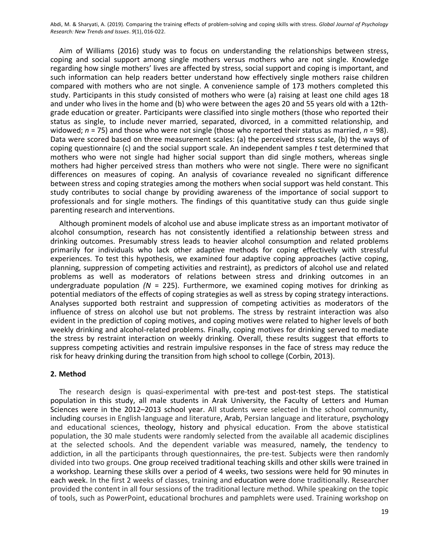Aim of Williams (2016) study was to focus on understanding the relationships between stress, coping and social support among single mothers versus mothers who are not single. Knowledge regarding how single mothers' lives are affected by stress, social support and coping is important, and such information can help readers better understand how effectively single mothers raise children compared with mothers who are not single. A convenience sample of 173 mothers completed this study. Participants in this study consisted of mothers who were (a) raising at least one child ages 18 and under who lives in the home and (b) who were between the ages 20 and 55 years old with a 12thgrade education or greater. Participants were classified into single mothers (those who reported their status as single, to include never married, separated, divorced, in a committed relationship, and widowed; *n* = 75) and those who were not single (those who reported their status as married, *n* = 98). Data were scored based on three measurement scales: (a) the perceived stress scale, (b) the ways of coping questionnaire (c) and the social support scale. An independent samples *t* test determined that mothers who were not single had higher social support than did single mothers, whereas single mothers had higher perceived stress than mothers who were not single. There were no significant differences on measures of coping. An analysis of covariance revealed no significant difference between stress and coping strategies among the mothers when social support was held constant. This study contributes to social change by providing awareness of the importance of social support to professionals and for single mothers. The findings of this quantitative study can thus guide single parenting research and interventions.

Although prominent models of alcohol use and abuse implicate stress as an important motivator of alcohol consumption, research has not consistently identified a relationship between stress and drinking outcomes. Presumably stress leads to heavier alcohol consumption and related problems primarily for individuals who lack other adaptive methods for coping effectively with stressful experiences. To test this hypothesis, we examined four adaptive coping approaches (active coping, planning, suppression of competing activities and restraint), as predictors of alcohol use and related problems as well as moderators of relations between stress and drinking outcomes in an undergraduate population  $/N = 225$ ). Furthermore, we examined coping motives for drinking as potential mediators of the effects of coping strategies as well as stress by coping strategy interactions. Analyses supported both restraint and suppression of competing activities as moderators of the influence of stress on alcohol use but not problems. The stress by restraint interaction was also evident in the prediction of coping motives, and coping motives were related to higher levels of both weekly drinking and alcohol-related problems. Finally, coping motives for drinking served to mediate the stress by restraint interaction on weekly drinking. Overall, these results suggest that efforts to suppress competing activities and restrain impulsive responses in the face of stress may reduce the risk for heavy drinking during the transition from high school to college (Corbin, 2013).

## **2. Method**

The research design is quasi-experimental with pre-test and post-test steps. The statistical population in this study, all male students in Arak University, the Faculty of Letters and Human Sciences were in the 2012–2013 school year. All students were selected in the school community, including courses in English language and literature, Arab, Persian language and literature, psychology and educational sciences, theology, history and physical education. From the above statistical population, the 30 male students were randomly selected from the available all academic disciplines at the selected schools. And the dependent variable was measured, namely, the tendency to addiction, in all the participants through questionnaires, the pre-test. Subjects were then randomly divided into two groups. One group received traditional teaching skills and other skills were trained in a workshop. Learning these skills over a period of 4 weeks, two sessions were held for 90 minutes in each week. In the first 2 weeks of classes, training and education were done traditionally. Researcher provided the content in all four sessions of the traditional lecture method. While speaking on the topic of tools, such as PowerPoint, educational brochures and pamphlets were used. Training workshop on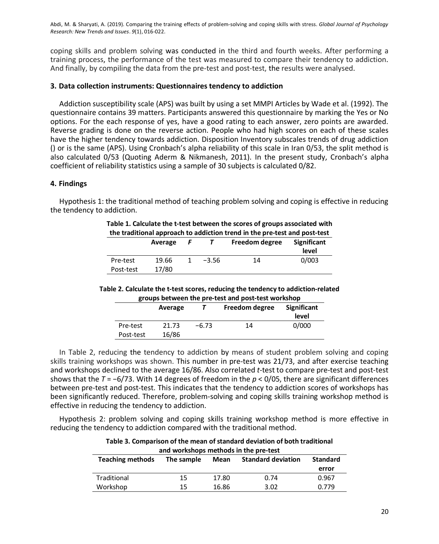coping skills and problem solving was conducted in the third and fourth weeks. After performing a training process, the performance of the test was measured to compare their tendency to addiction. And finally, by compiling the data from the pre-test and post-test, the results were analysed.

### **3. Data collection instruments: Questionnaires tendency to addiction**

Addiction susceptibility scale (APS) was built by using a set MMPI Articles by Wade et al. (1992). The questionnaire contains 39 matters. Participants answered this questionnaire by marking the Yes or No options. For the each response of yes, have a good rating to each answer, zero points are awarded. Reverse grading is done on the reverse action. People who had high scores on each of these scales have the higher tendency towards addiction. Disposition Inventory subscales trends of drug addiction () or is the same (APS). Using Cronbach's alpha reliability of this scale in Iran 0/53, the split method is also calculated 0/53 (Quoting Aderm & Nikmanesh, 2011). In the present study, Cronbach's alpha coefficient of reliability statistics using a sample of 30 subjects is calculated 0/82.

#### **4. Findings**

Hypothesis 1: the traditional method of teaching problem solving and coping is effective in reducing the tendency to addiction.

|                       |                |     |         | Table 1. Calculate the t-test between the scores of groups associated with<br>the traditional approach to addiction trend in the pre-test and post-test |                             |
|-----------------------|----------------|-----|---------|---------------------------------------------------------------------------------------------------------------------------------------------------------|-----------------------------|
|                       | Average        | - F |         | Freedom degree                                                                                                                                          | <b>Significant</b><br>level |
| Pre-test<br>Post-test | 19.66<br>17/80 | 1   | $-3.56$ | 14                                                                                                                                                      | 0/003                       |

## **Table 1. Calculate the t-test between the scores of groups associated with**

#### **Table 2. Calculate the t-test scores, reducing the tendency to addiction-related groups between the pre-test and post-test workshop**

|           | Average |         | Freedom degree | <b>Significant</b><br>level |
|-----------|---------|---------|----------------|-----------------------------|
| Pre-test  | 21.73   | $-6.73$ | 14             | 0/000                       |
| Post-test | 16/86   |         |                |                             |

In Table 2, reducing the tendency to addiction by means of student problem solving and coping skills training workshops was shown. This number in pre-test was 21/73, and after exercise teaching and workshops declined to the average 16/86. Also correlated *t*-test to compare pre-test and post-test shows that the *T* = −6/73. With 14 degrees of freedom in the *p* < 0/05, there are significant differences between pre-test and post-test. This indicates that the tendency to addiction scores of workshops has been significantly reduced. Therefore, problem-solving and coping skills training workshop method is effective in reducing the tendency to addiction.

Hypothesis 2: problem solving and coping skills training workshop method is more effective in reducing the tendency to addiction compared with the traditional method.

| and workshops methods in the pre-test |            |       |                           |                 |  |
|---------------------------------------|------------|-------|---------------------------|-----------------|--|
| <b>Teaching methods</b>               | The sample | Mean  | <b>Standard deviation</b> | <b>Standard</b> |  |
|                                       |            |       |                           | error           |  |
| Traditional                           | 15         | 17.80 | 0.74                      | 0.967           |  |
| Workshop                              | 15         | 16.86 | 3.02                      | 0.779           |  |

# **Table 3. Comparison of the mean of standard deviation of both traditional**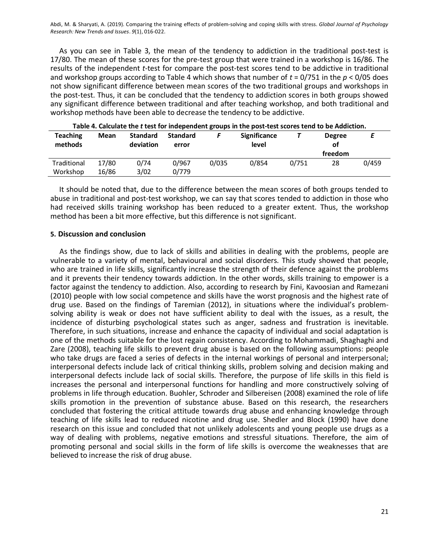As you can see in Table 3, the mean of the tendency to addiction in the traditional post-test is 17/80. The mean of these scores for the pre-test group that were trained in a workshop is 16/86. The results of the independent *t*-test for compare the post-test scores tend to be addictive in traditional and workshop groups according to Table 4 which shows that number of *t* = 0/751 in the *p* < 0/05 does not show significant difference between mean scores of the two traditional groups and workshops in the post-test. Thus, it can be concluded that the tendency to addiction scores in both groups showed any significant difference between traditional and after teaching workshop, and both traditional and workshop methods have been able to decrease the tendency to be addictive.

| <b>Teaching</b><br>methods | Mean           | <b>Standard</b><br>deviation | <b>Standard</b><br>error |       | <b>Significance</b><br>level |       | <b>Degree</b><br>οf<br>freedom |       |
|----------------------------|----------------|------------------------------|--------------------------|-------|------------------------------|-------|--------------------------------|-------|
| Traditional<br>Workshop    | 17/80<br>16/86 | 0/74<br>3/02                 | 0/967<br>0/779           | 0/035 | 0/854                        | 0/751 | 28                             | 0/459 |

| Table 4. Calculate the t test for independent groups in the post-test scores tend to be Addiction. |
|----------------------------------------------------------------------------------------------------|
|----------------------------------------------------------------------------------------------------|

It should be noted that, due to the difference between the mean scores of both groups tended to abuse in traditional and post-test workshop, we can say that scores tended to addiction in those who had received skills training workshop has been reduced to a greater extent. Thus, the workshop method has been a bit more effective, but this difference is not significant.

### **5. Discussion and conclusion**

As the findings show, due to lack of skills and abilities in dealing with the problems, people are vulnerable to a variety of mental, behavioural and social disorders. This study showed that people, who are trained in life skills, significantly increase the strength of their defence against the problems and it prevents their tendency towards addiction. In the other words, skills training to empower is a factor against the tendency to addiction. Also, according to research by Fini, Kavoosian and Ramezani (2010) people with low social competence and skills have the worst prognosis and the highest rate of drug use. Based on the findings of Taremian (2012), in situations where the individual's problemsolving ability is weak or does not have sufficient ability to deal with the issues, as a result, the incidence of disturbing psychological states such as anger, sadness and frustration is inevitable. Therefore, in such situations, increase and enhance the capacity of individual and social adaptation is one of the methods suitable for the lost regain consistency. According to Mohammadi, Shaghaghi and Zare (2008), teaching life skills to prevent drug abuse is based on the following assumptions: people who take drugs are faced a series of defects in the internal workings of personal and interpersonal; interpersonal defects include lack of critical thinking skills, problem solving and decision making and interpersonal defects include lack of social skills. Therefore, the purpose of life skills in this field is increases the personal and interpersonal functions for handling and more constructively solving of problems in life through education. Buohler, Schroder and Silbereisen (2008) examined the role of life skills promotion in the prevention of substance abuse. Based on this research, the researchers concluded that fostering the critical attitude towards drug abuse and enhancing knowledge through teaching of life skills lead to reduced nicotine and drug use. Shedler and Block (1990) have done research on this issue and concluded that not unlikely adolescents and young people use drugs as a way of dealing with problems, negative emotions and stressful situations. Therefore, the aim of promoting personal and social skills in the form of life skills is overcome the weaknesses that are believed to increase the risk of drug abuse.